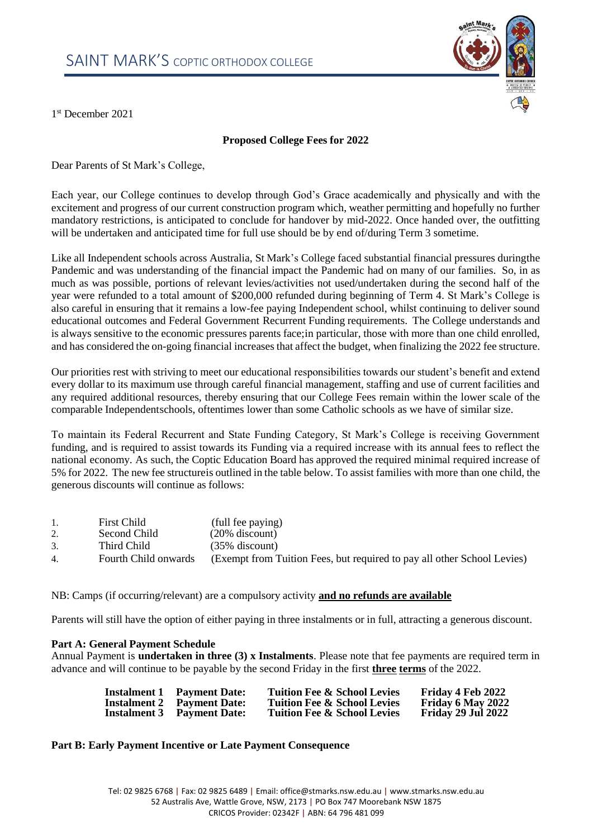

1 st December 2021

# **Proposed College Fees for 2022**

Dear Parents of St Mark's College,

Each year, our College continues to develop through God's Grace academically and physically and with the excitement and progress of our current construction program which, weather permitting and hopefully no further mandatory restrictions, is anticipated to conclude for handover by mid-2022. Once handed over, the outfitting will be undertaken and anticipated time for full use should be by end of/during Term 3 sometime.

Like all Independent schools across Australia, St Mark's College faced substantial financial pressures duringthe Pandemic and was understanding of the financial impact the Pandemic had on many of our families. So, in as much as was possible, portions of relevant levies/activities not used/undertaken during the second half of the year were refunded to a total amount of \$200,000 refunded during beginning of Term 4. St Mark's College is also careful in ensuring that it remains a low-fee paying Independent school, whilst continuing to deliver sound educational outcomes and Federal Government Recurrent Funding requirements. The College understands and is always sensitive to the economic pressures parents face;in particular, those with more than one child enrolled, and has considered the on-going financial increases that affect the budget, when finalizing the 2022 fee structure.

Our priorities rest with striving to meet our educational responsibilities towards our student's benefit and extend every dollar to its maximum use through careful financial management, staffing and use of current facilities and any required additional resources, thereby ensuring that our College Fees remain within the lower scale of the comparable Independentschools, oftentimes lower than some Catholic schools as we have of similar size.

To maintain its Federal Recurrent and State Funding Category, St Mark's College is receiving Government funding, and is required to assist towards its Funding via a required increase with its annual fees to reflect the national economy. As such, the Coptic Education Board has approved the required minimal required increase of 5% for 2022. The new fee structureis outlined in the table below. To assist families with more than one child, the generous discounts will continue as follows:

|                | <b>First Child</b>   | (full fee paying)                                                       |
|----------------|----------------------|-------------------------------------------------------------------------|
|                | Second Child         | $(20\%$ discount)                                                       |
| 3.             | Third Child          | $(35\%$ discount)                                                       |
| 4 <sub>1</sub> | Fourth Child onwards | (Exempt from Tuition Fees, but required to pay all other School Levies) |

NB: Camps (if occurring/relevant) are a compulsory activity **and no refunds are available**

Parents will still have the option of either paying in three instalments or in full, attracting a generous discount.

#### **Part A: General Payment Schedule**

Annual Payment is **undertaken in three (3) x Instalments**. Please note that fee payments are required term in advance and will continue to be payable by the second Friday in the first **three terms** of the 2022.

|                     | <b>Instalment 1</b> Payment Date: | Tuition Fee & School Levies            | Friday 4 Feb 2022         |
|---------------------|-----------------------------------|----------------------------------------|---------------------------|
|                     | <b>Instalment 2</b> Payment Date: | <b>Tuition Fee &amp; School Levies</b> | <b>Friday 6 May 2022</b>  |
| <b>Instalment 3</b> | <b>Payment Date:</b>              | <b>Tuition Fee &amp; School Levies</b> | <b>Friday 29 Jul 2022</b> |

## **Part B: Early Payment Incentive or Late Payment Consequence**